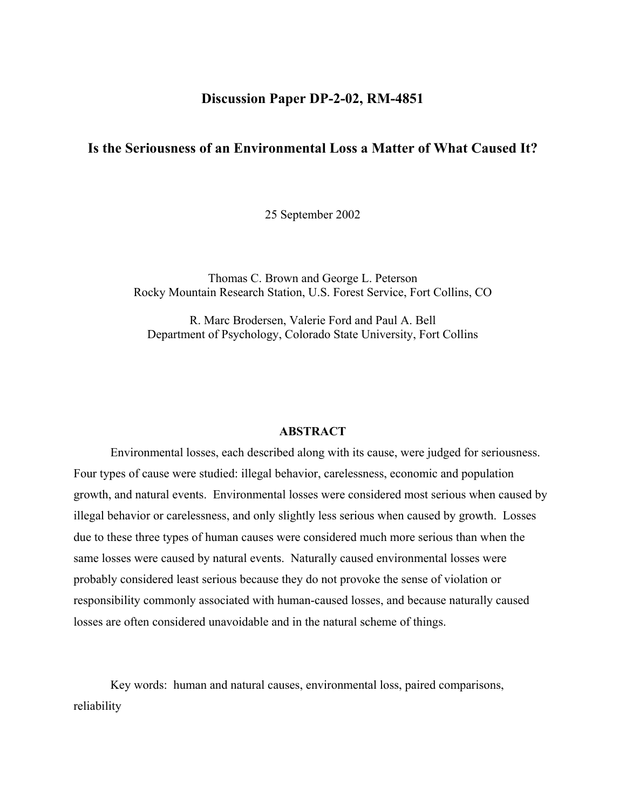## **Discussion Paper DP-2-02, RM-4851**

# **Is the Seriousness of an Environmental Loss a Matter of What Caused It?**

25 September 2002

Thomas C. Brown and George L. Peterson Rocky Mountain Research Station, U.S. Forest Service, Fort Collins, CO

R. Marc Brodersen, Valerie Ford and Paul A. Bell Department of Psychology, Colorado State University, Fort Collins

#### **ABSTRACT**

Environmental losses, each described along with its cause, were judged for seriousness. Four types of cause were studied: illegal behavior, carelessness, economic and population growth, and natural events. Environmental losses were considered most serious when caused by illegal behavior or carelessness, and only slightly less serious when caused by growth. Losses due to these three types of human causes were considered much more serious than when the same losses were caused by natural events. Naturally caused environmental losses were probably considered least serious because they do not provoke the sense of violation or responsibility commonly associated with human-caused losses, and because naturally caused losses are often considered unavoidable and in the natural scheme of things.

Key words: human and natural causes, environmental loss, paired comparisons, reliability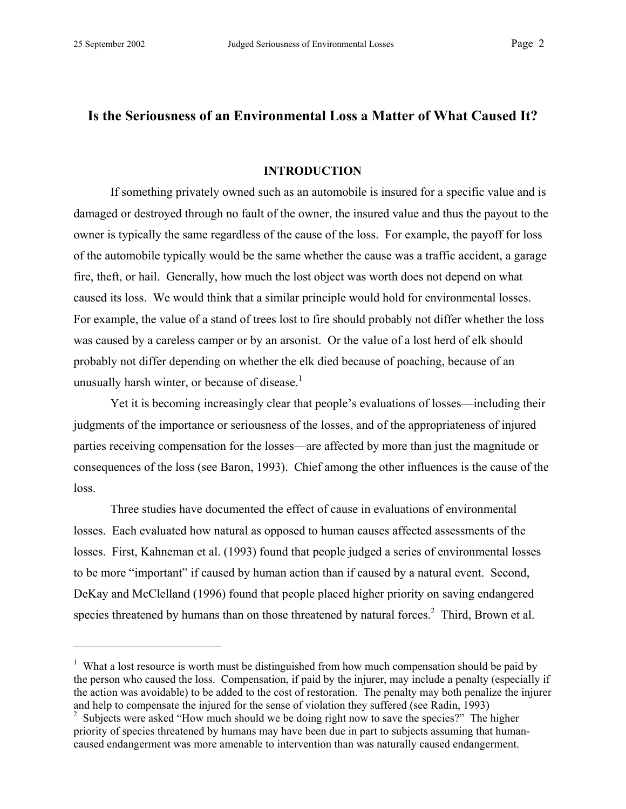$\overline{a}$ 

# **Is the Seriousness of an Environmental Loss a Matter of What Caused It?**

### **INTRODUCTION**

If something privately owned such as an automobile is insured for a specific value and is damaged or destroyed through no fault of the owner, the insured value and thus the payout to the owner is typically the same regardless of the cause of the loss. For example, the payoff for loss of the automobile typically would be the same whether the cause was a traffic accident, a garage fire, theft, or hail. Generally, how much the lost object was worth does not depend on what caused its loss. We would think that a similar principle would hold for environmental losses. For example, the value of a stand of trees lost to fire should probably not differ whether the loss was caused by a careless camper or by an arsonist. Or the value of a lost herd of elk should probably not differ depending on whether the elk died because of poaching, because of an unusually harsh winter, or because of disease. $<sup>1</sup>$ </sup>

Yet it is becoming increasingly clear that people's evaluations of losses—including their judgments of the importance or seriousness of the losses, and of the appropriateness of injured parties receiving compensation for the losses—are affected by more than just the magnitude or consequences of the loss (see Baron, 1993). Chief among the other influences is the cause of the loss.

Three studies have documented the effect of cause in evaluations of environmental losses. Each evaluated how natural as opposed to human causes affected assessments of the losses. First, Kahneman et al. (1993) found that people judged a series of environmental losses to be more "important" if caused by human action than if caused by a natural event. Second, DeKay and McClelland (1996) found that people placed higher priority on saving endangered species threatened by humans than on those threatened by natural forces. $2$  Third, Brown et al.

<sup>&</sup>lt;sup>1</sup> What a lost resource is worth must be distinguished from how much compensation should be paid by the person who caused the loss. Compensation, if paid by the injurer, may include a penalty (especially if the action was avoidable) to be added to the cost of restoration. The penalty may both penalize the injurer and help to compensate the injured for the sense of violation they suffered (see Radin, 1993)

<sup>&</sup>lt;sup>2</sup> Subjects were asked "How much should we be doing right now to save the species?" The higher priority of species threatened by humans may have been due in part to subjects assuming that humancaused endangerment was more amenable to intervention than was naturally caused endangerment.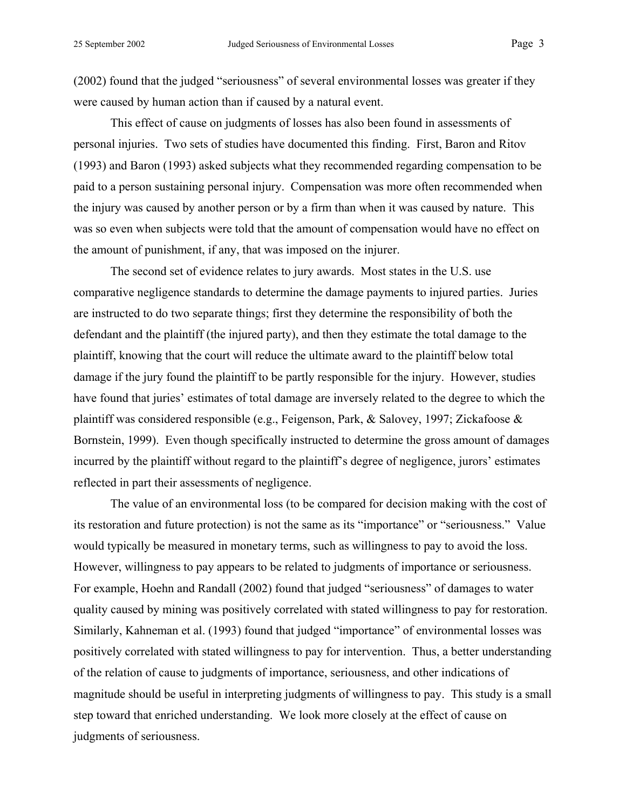(2002) found that the judged "seriousness" of several environmental losses was greater if they were caused by human action than if caused by a natural event.

This effect of cause on judgments of losses has also been found in assessments of personal injuries. Two sets of studies have documented this finding. First, Baron and Ritov (1993) and Baron (1993) asked subjects what they recommended regarding compensation to be paid to a person sustaining personal injury. Compensation was more often recommended when the injury was caused by another person or by a firm than when it was caused by nature. This was so even when subjects were told that the amount of compensation would have no effect on the amount of punishment, if any, that was imposed on the injurer.

The second set of evidence relates to jury awards. Most states in the U.S. use comparative negligence standards to determine the damage payments to injured parties. Juries are instructed to do two separate things; first they determine the responsibility of both the defendant and the plaintiff (the injured party), and then they estimate the total damage to the plaintiff, knowing that the court will reduce the ultimate award to the plaintiff below total damage if the jury found the plaintiff to be partly responsible for the injury. However, studies have found that juries' estimates of total damage are inversely related to the degree to which the plaintiff was considered responsible (e.g., Feigenson, Park, & Salovey, 1997; Zickafoose & Bornstein, 1999). Even though specifically instructed to determine the gross amount of damages incurred by the plaintiff without regard to the plaintiff's degree of negligence, jurors' estimates reflected in part their assessments of negligence.

The value of an environmental loss (to be compared for decision making with the cost of its restoration and future protection) is not the same as its "importance" or "seriousness." Value would typically be measured in monetary terms, such as willingness to pay to avoid the loss. However, willingness to pay appears to be related to judgments of importance or seriousness. For example, Hoehn and Randall (2002) found that judged "seriousness" of damages to water quality caused by mining was positively correlated with stated willingness to pay for restoration. Similarly, Kahneman et al. (1993) found that judged "importance" of environmental losses was positively correlated with stated willingness to pay for intervention. Thus, a better understanding of the relation of cause to judgments of importance, seriousness, and other indications of magnitude should be useful in interpreting judgments of willingness to pay. This study is a small step toward that enriched understanding. We look more closely at the effect of cause on judgments of seriousness.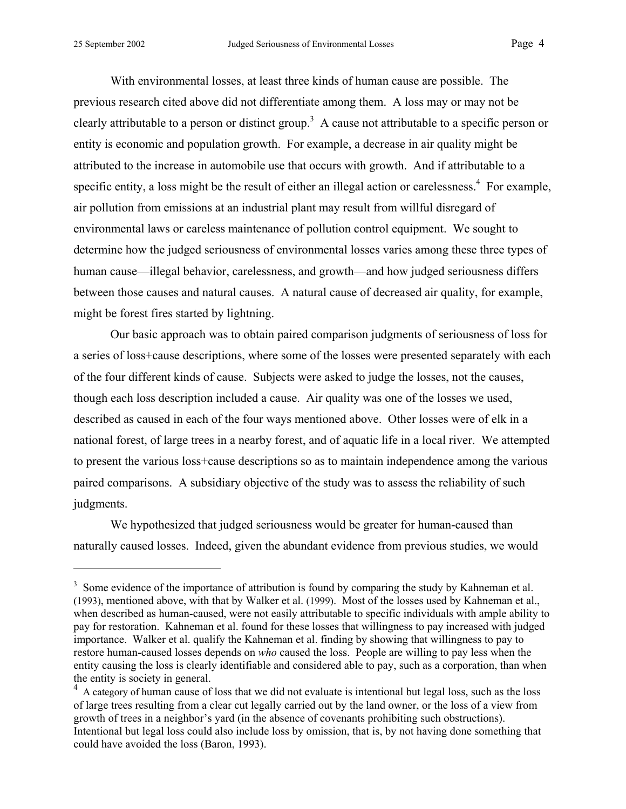$\overline{a}$ 

With environmental losses, at least three kinds of human cause are possible. The previous research cited above did not differentiate among them. A loss may or may not be clearly attributable to a person or distinct group.<sup>3</sup> A cause not attributable to a specific person or entity is economic and population growth. For example, a decrease in air quality might be attributed to the increase in automobile use that occurs with growth. And if attributable to a specific entity, a loss might be the result of either an illegal action or carelessness.<sup>4</sup> For example, air pollution from emissions at an industrial plant may result from willful disregard of environmental laws or careless maintenance of pollution control equipment. We sought to determine how the judged seriousness of environmental losses varies among these three types of human cause—illegal behavior, carelessness, and growth—and how judged seriousness differs between those causes and natural causes. A natural cause of decreased air quality, for example, might be forest fires started by lightning.

Our basic approach was to obtain paired comparison judgments of seriousness of loss for a series of loss+cause descriptions, where some of the losses were presented separately with each of the four different kinds of cause. Subjects were asked to judge the losses, not the causes, though each loss description included a cause. Air quality was one of the losses we used, described as caused in each of the four ways mentioned above. Other losses were of elk in a national forest, of large trees in a nearby forest, and of aquatic life in a local river. We attempted to present the various loss+cause descriptions so as to maintain independence among the various paired comparisons. A subsidiary objective of the study was to assess the reliability of such judgments.

We hypothesized that judged seriousness would be greater for human-caused than naturally caused losses. Indeed, given the abundant evidence from previous studies, we would

 $3$  Some evidence of the importance of attribution is found by comparing the study by Kahneman et al. (1993), mentioned above, with that by Walker et al. (1999). Most of the losses used by Kahneman et al., when described as human-caused, were not easily attributable to specific individuals with ample ability to pay for restoration. Kahneman et al. found for these losses that willingness to pay increased with judged importance. Walker et al. qualify the Kahneman et al. finding by showing that willingness to pay to restore human-caused losses depends on *who* caused the loss. People are willing to pay less when the entity causing the loss is clearly identifiable and considered able to pay, such as a corporation, than when the entity is society in general.

<sup>&</sup>lt;sup>4</sup> A category of human cause of loss that we did not evaluate is intentional but legal loss, such as the loss of large trees resulting from a clear cut legally carried out by the land owner, or the loss of a view from growth of trees in a neighbor's yard (in the absence of covenants prohibiting such obstructions). Intentional but legal loss could also include loss by omission, that is, by not having done something that could have avoided the loss (Baron, 1993).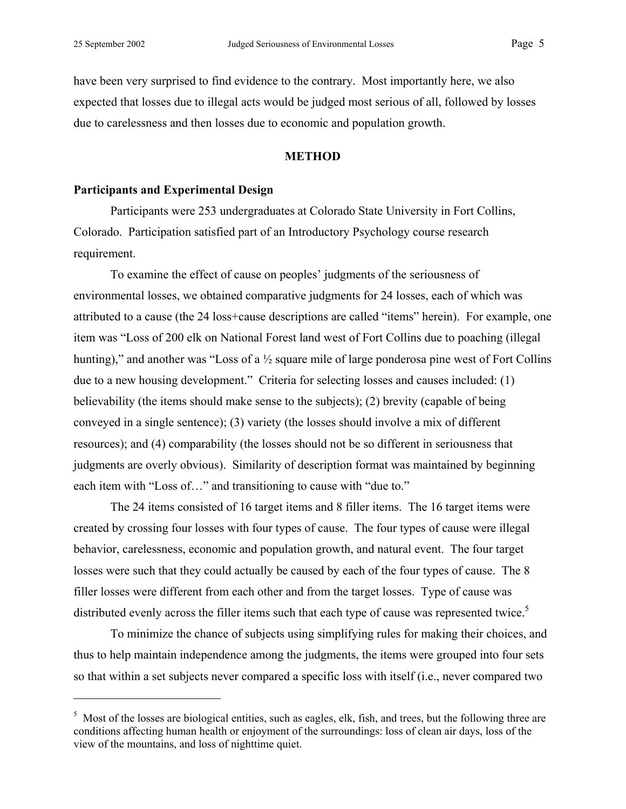1

have been very surprised to find evidence to the contrary. Most importantly here, we also expected that losses due to illegal acts would be judged most serious of all, followed by losses due to carelessness and then losses due to economic and population growth.

### **METHOD**

## **Participants and Experimental Design**

Participants were 253 undergraduates at Colorado State University in Fort Collins, Colorado. Participation satisfied part of an Introductory Psychology course research requirement.

To examine the effect of cause on peoples' judgments of the seriousness of environmental losses, we obtained comparative judgments for 24 losses, each of which was attributed to a cause (the 24 loss+cause descriptions are called "items" herein). For example, one item was "Loss of 200 elk on National Forest land west of Fort Collins due to poaching (illegal hunting)," and another was "Loss of a  $\frac{1}{2}$  square mile of large ponderosa pine west of Fort Collins due to a new housing development." Criteria for selecting losses and causes included: (1) believability (the items should make sense to the subjects); (2) brevity (capable of being conveyed in a single sentence); (3) variety (the losses should involve a mix of different resources); and (4) comparability (the losses should not be so different in seriousness that judgments are overly obvious). Similarity of description format was maintained by beginning each item with "Loss of…" and transitioning to cause with "due to."

The 24 items consisted of 16 target items and 8 filler items. The 16 target items were created by crossing four losses with four types of cause. The four types of cause were illegal behavior, carelessness, economic and population growth, and natural event. The four target losses were such that they could actually be caused by each of the four types of cause. The 8 filler losses were different from each other and from the target losses. Type of cause was distributed evenly across the filler items such that each type of cause was represented twice.<sup>5</sup>

To minimize the chance of subjects using simplifying rules for making their choices, and thus to help maintain independence among the judgments, the items were grouped into four sets so that within a set subjects never compared a specific loss with itself (i.e., never compared two

<sup>&</sup>lt;sup>5</sup> Most of the losses are biological entities, such as eagles, elk, fish, and trees, but the following three are conditions affecting human health or enjoyment of the surroundings: loss of clean air days, loss of the view of the mountains, and loss of nighttime quiet.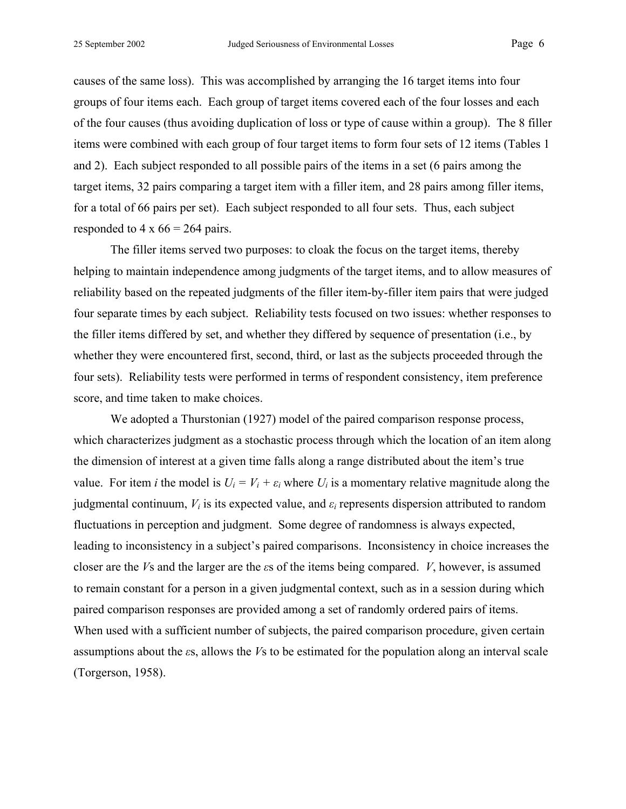causes of the same loss). This was accomplished by arranging the 16 target items into four groups of four items each. Each group of target items covered each of the four losses and each of the four causes (thus avoiding duplication of loss or type of cause within a group). The 8 filler items were combined with each group of four target items to form four sets of 12 items (Tables 1 and 2). Each subject responded to all possible pairs of the items in a set (6 pairs among the target items, 32 pairs comparing a target item with a filler item, and 28 pairs among filler items, for a total of 66 pairs per set). Each subject responded to all four sets. Thus, each subject responded to 4 x  $66 = 264$  pairs.

The filler items served two purposes: to cloak the focus on the target items, thereby helping to maintain independence among judgments of the target items, and to allow measures of reliability based on the repeated judgments of the filler item-by-filler item pairs that were judged four separate times by each subject. Reliability tests focused on two issues: whether responses to the filler items differed by set, and whether they differed by sequence of presentation (i.e., by whether they were encountered first, second, third, or last as the subjects proceeded through the four sets). Reliability tests were performed in terms of respondent consistency, item preference score, and time taken to make choices.

We adopted a Thurstonian (1927) model of the paired comparison response process, which characterizes judgment as a stochastic process through which the location of an item along the dimension of interest at a given time falls along a range distributed about the item's true value. For item *i* the model is  $U_i = V_i + \varepsilon_i$  where  $U_i$  is a momentary relative magnitude along the judgmental continuum,  $V_i$  is its expected value, and  $\varepsilon_i$  represents dispersion attributed to random fluctuations in perception and judgment. Some degree of randomness is always expected, leading to inconsistency in a subject's paired comparisons. Inconsistency in choice increases the closer are the *V*s and the larger are the *ε*s of the items being compared. *V*, however, is assumed to remain constant for a person in a given judgmental context, such as in a session during which paired comparison responses are provided among a set of randomly ordered pairs of items. When used with a sufficient number of subjects, the paired comparison procedure, given certain assumptions about the *ε*s, allows the *V*s to be estimated for the population along an interval scale (Torgerson, 1958).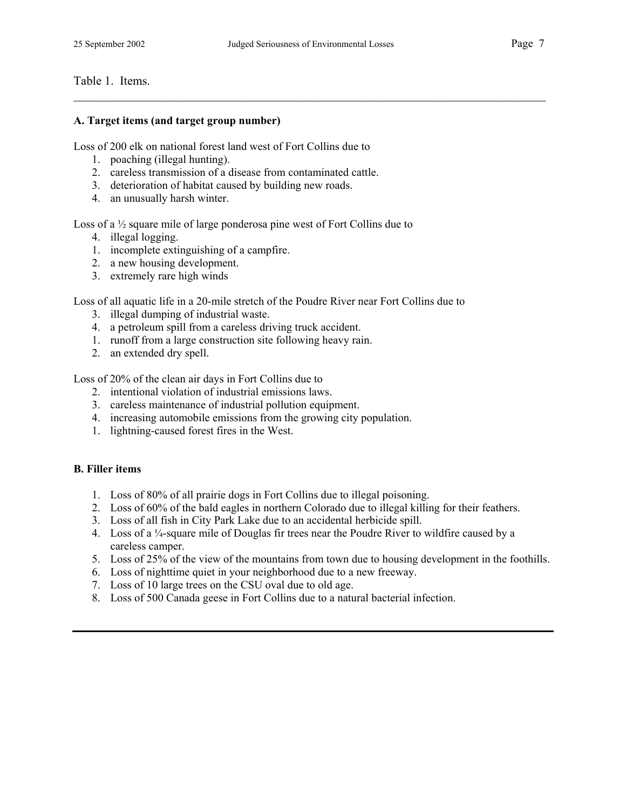$\mathcal{L}_\mathcal{L} = \{ \mathcal{L}_\mathcal{L} = \{ \mathcal{L}_\mathcal{L} = \{ \mathcal{L}_\mathcal{L} = \{ \mathcal{L}_\mathcal{L} = \{ \mathcal{L}_\mathcal{L} = \{ \mathcal{L}_\mathcal{L} = \{ \mathcal{L}_\mathcal{L} = \{ \mathcal{L}_\mathcal{L} = \{ \mathcal{L}_\mathcal{L} = \{ \mathcal{L}_\mathcal{L} = \{ \mathcal{L}_\mathcal{L} = \{ \mathcal{L}_\mathcal{L} = \{ \mathcal{L}_\mathcal{L} = \{ \mathcal{L}_\mathcal{$ 

## Table 1. Items.

#### **A. Target items (and target group number)**

Loss of 200 elk on national forest land west of Fort Collins due to

- 1. poaching (illegal hunting).
- 2. careless transmission of a disease from contaminated cattle.
- 3. deterioration of habitat caused by building new roads.
- 4. an unusually harsh winter.

Loss of a ½ square mile of large ponderosa pine west of Fort Collins due to

- 4. illegal logging.
- 1. incomplete extinguishing of a campfire.
- 2. a new housing development.
- 3. extremely rare high winds

Loss of all aquatic life in a 20-mile stretch of the Poudre River near Fort Collins due to

- 3. illegal dumping of industrial waste.
- 4. a petroleum spill from a careless driving truck accident.
- 1. runoff from a large construction site following heavy rain.
- 2. an extended dry spell.

Loss of 20% of the clean air days in Fort Collins due to

- 2. intentional violation of industrial emissions laws.
- 3. careless maintenance of industrial pollution equipment.
- 4. increasing automobile emissions from the growing city population.
- 1. lightning-caused forest fires in the West.

## **B. Filler items**

- 1. Loss of 80% of all prairie dogs in Fort Collins due to illegal poisoning.
- 2. Loss of 60% of the bald eagles in northern Colorado due to illegal killing for their feathers.
- 3. Loss of all fish in City Park Lake due to an accidental herbicide spill.
- 4. Loss of a ¼-square mile of Douglas fir trees near the Poudre River to wildfire caused by a careless camper.
- 5. Loss of 25% of the view of the mountains from town due to housing development in the foothills.
- 6. Loss of nighttime quiet in your neighborhood due to a new freeway.
- 7. Loss of 10 large trees on the CSU oval due to old age.
- 8. Loss of 500 Canada geese in Fort Collins due to a natural bacterial infection.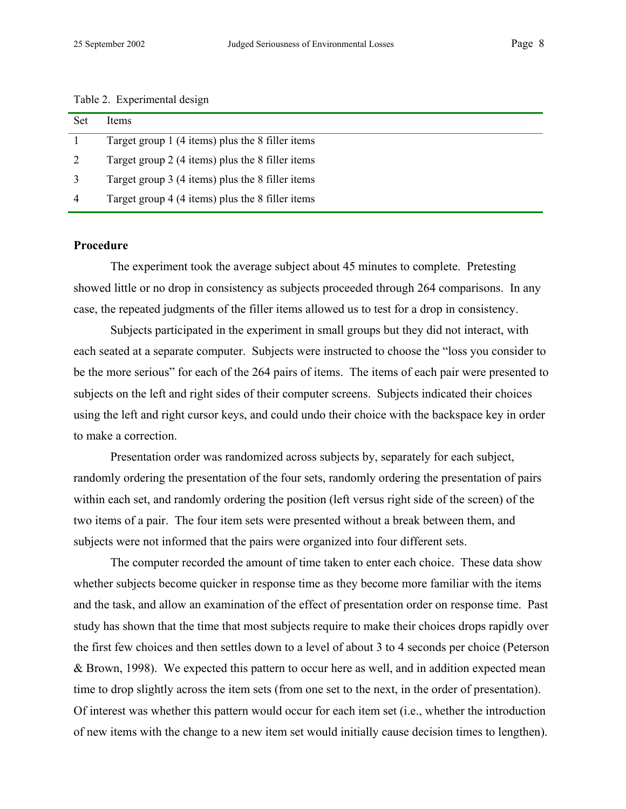| Table 2. Experimental design |  |  |  |
|------------------------------|--|--|--|
|------------------------------|--|--|--|

| Set            | <b>Items</b>                                     |
|----------------|--------------------------------------------------|
|                | Target group 1 (4 items) plus the 8 filler items |
| 2              | Target group 2 (4 items) plus the 8 filler items |
| 3              | Target group 3 (4 items) plus the 8 filler items |
| $\overline{4}$ | Target group 4 (4 items) plus the 8 filler items |

#### **Procedure**

The experiment took the average subject about 45 minutes to complete. Pretesting showed little or no drop in consistency as subjects proceeded through 264 comparisons. In any case, the repeated judgments of the filler items allowed us to test for a drop in consistency.

Subjects participated in the experiment in small groups but they did not interact, with each seated at a separate computer. Subjects were instructed to choose the "loss you consider to be the more serious" for each of the 264 pairs of items. The items of each pair were presented to subjects on the left and right sides of their computer screens. Subjects indicated their choices using the left and right cursor keys, and could undo their choice with the backspace key in order to make a correction.

Presentation order was randomized across subjects by, separately for each subject, randomly ordering the presentation of the four sets, randomly ordering the presentation of pairs within each set, and randomly ordering the position (left versus right side of the screen) of the two items of a pair. The four item sets were presented without a break between them, and subjects were not informed that the pairs were organized into four different sets.

The computer recorded the amount of time taken to enter each choice. These data show whether subjects become quicker in response time as they become more familiar with the items and the task, and allow an examination of the effect of presentation order on response time. Past study has shown that the time that most subjects require to make their choices drops rapidly over the first few choices and then settles down to a level of about 3 to 4 seconds per choice (Peterson & Brown, 1998). We expected this pattern to occur here as well, and in addition expected mean time to drop slightly across the item sets (from one set to the next, in the order of presentation). Of interest was whether this pattern would occur for each item set (i.e., whether the introduction of new items with the change to a new item set would initially cause decision times to lengthen).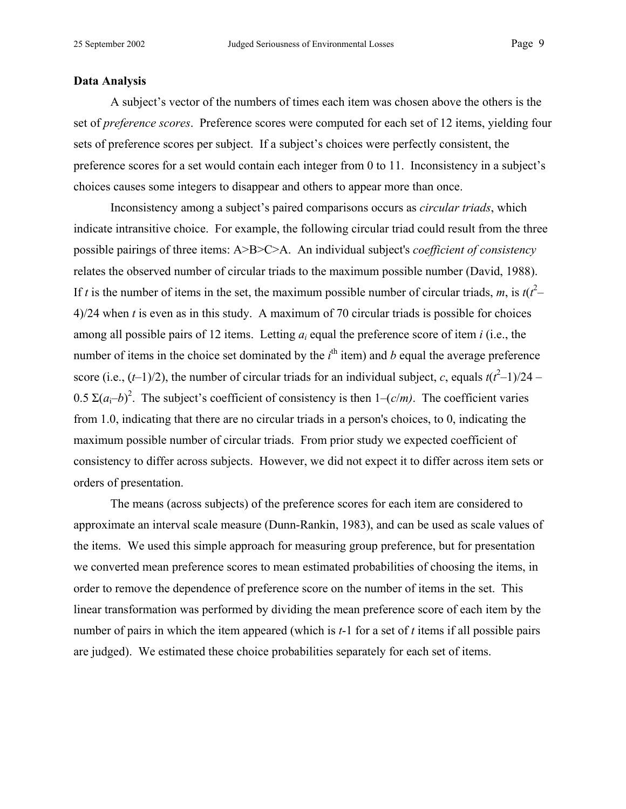### **Data Analysis**

A subject's vector of the numbers of times each item was chosen above the others is the set of *preference scores*. Preference scores were computed for each set of 12 items, yielding four sets of preference scores per subject. If a subject's choices were perfectly consistent, the preference scores for a set would contain each integer from 0 to 11. Inconsistency in a subject's choices causes some integers to disappear and others to appear more than once.

Inconsistency among a subject's paired comparisons occurs as *circular triads*, which indicate intransitive choice. For example, the following circular triad could result from the three possible pairings of three items: A>B>C>A. An individual subject's *coefficient of consistency* relates the observed number of circular triads to the maximum possible number (David, 1988). If *t* is the number of items in the set, the maximum possible number of circular triads, *m*, is  $t(t^2 - t^2)$ 4)/24 when *t* is even as in this study. A maximum of 70 circular triads is possible for choices among all possible pairs of 12 items. Letting *ai* equal the preference score of item *i* (i.e., the number of items in the choice set dominated by the  $i^{\text{th}}$  item) and *b* equal the average preference score (i.e.,  $(t-1)/2$ ), the number of circular triads for an individual subject, *c*, equals  $t(t^2-1)/24$  – 0.5 Σ $(a<sub>i</sub>–b)<sup>2</sup>$ . The subject's coefficient of consistency is then 1–(*c/m*). The coefficient varies from 1.0, indicating that there are no circular triads in a person's choices, to 0, indicating the maximum possible number of circular triads. From prior study we expected coefficient of consistency to differ across subjects. However, we did not expect it to differ across item sets or orders of presentation.

The means (across subjects) of the preference scores for each item are considered to approximate an interval scale measure (Dunn-Rankin, 1983), and can be used as scale values of the items. We used this simple approach for measuring group preference, but for presentation we converted mean preference scores to mean estimated probabilities of choosing the items, in order to remove the dependence of preference score on the number of items in the set. This linear transformation was performed by dividing the mean preference score of each item by the number of pairs in which the item appeared (which is *t*-1 for a set of *t* items if all possible pairs are judged). We estimated these choice probabilities separately for each set of items.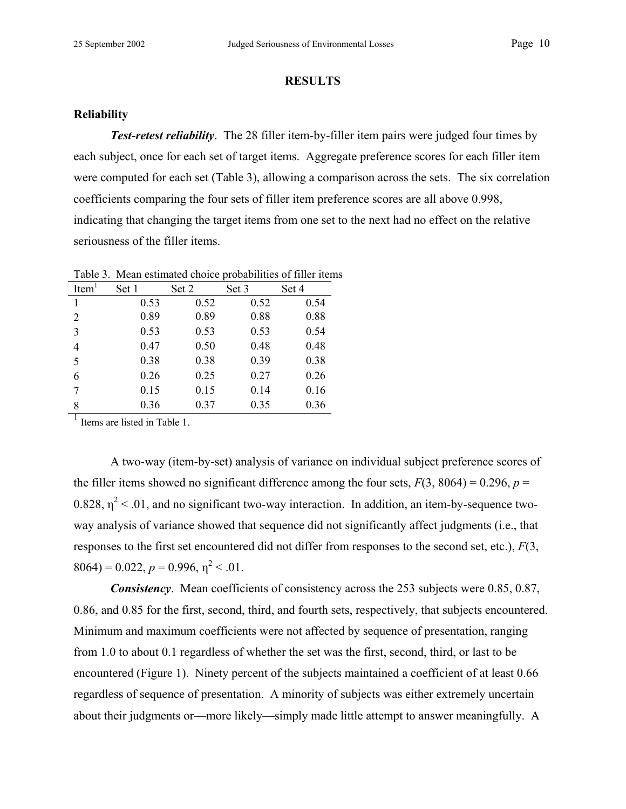## **RESULTS**

## **Reliability**

**Test-retest reliability**. The 28 filler item-by-filler item pairs were judged four times by each subject, once for each set of target items. Aggregate preference scores for each filler item were computed for each set (Table 3), allowing a comparison across the sets. The six correlation coefficients comparing the four sets of filler item preference scores are all above 0.998, indicating that changing the target items from one set to the next had no effect on the relative seriousness of the filler items.

| Item <sup>1</sup> | Set 1 | Set 2 | Set 3 | Set 4 |
|-------------------|-------|-------|-------|-------|
|                   | 0.53  | 0.52  | 0.52  | 0.54  |
| 2                 | 0.89  | 0.89  | 0.88  | 0.88  |
| 3                 | 0.53  | 0.53  | 0.53  | 0.54  |
| 4                 | 0.47  | 0.50  | 0.48  | 0.48  |
| 5                 | 0.38  | 0.38  | 0.39  | 0.38  |
| 6                 | 0.26  | 0.25  | 0.27  | 0.26  |
| 7                 | 0.15  | 0.15  | 0.14  | 0.16  |
| 8                 | 0.36  | 0.37  | 0.35  | 0.36  |

Table 3. Mean estimated choice probabilities of filler items

Items are listed in Table 1.

A two-way (item-by-set) analysis of variance on individual subject preference scores of the filler items showed no significant difference among the four sets,  $F(3, 8064) = 0.296$ ,  $p =$  $0.828$ ,  $\eta^2$  < .01, and no significant two-way interaction. In addition, an item-by-sequence twoway analysis of variance showed that sequence did not significantly affect judgments (i.e., that responses to the first set encountered did not differ from responses to the second set, etc.), *F*(3,  $8064$ ) = 0.022,  $p = 0.996$ ,  $\eta^2$  < .01.

*Consistency*. Mean coefficients of consistency across the 253 subjects were 0.85, 0.87, 0.86, and 0.85 for the first, second, third, and fourth sets, respectively, that subjects encountered. Minimum and maximum coefficients were not affected by sequence of presentation, ranging from 1.0 to about 0.1 regardless of whether the set was the first, second, third, or last to be encountered (Figure 1). Ninety percent of the subjects maintained a coefficient of at least 0.66 regardless of sequence of presentation. A minority of subjects was either extremely uncertain about their judgments or—more likely—simply made little attempt to answer meaningfully. A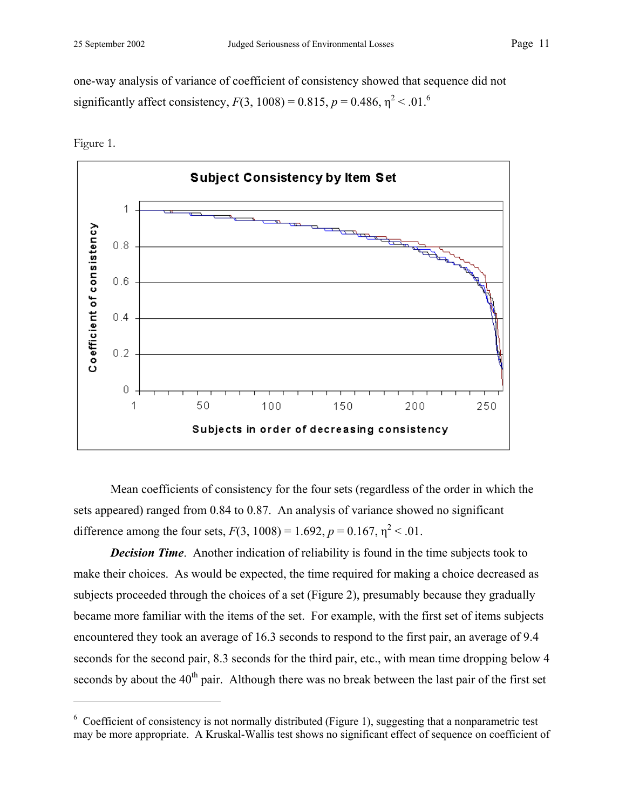one-way analysis of variance of coefficient of consistency showed that sequence did not significantly affect consistency,  $F(3, 1008) = 0.815$ ,  $p = 0.486$ ,  $\eta^2 < .01$ .<sup>6</sup>



Figure 1.

1

 Mean coefficients of consistency for the four sets (regardless of the order in which the sets appeared) ranged from 0.84 to 0.87. An analysis of variance showed no significant difference among the four sets,  $F(3, 1008) = 1.692$ ,  $p = 0.167$ ,  $\eta^2 < .01$ .

*Decision Time.* Another indication of reliability is found in the time subjects took to make their choices. As would be expected, the time required for making a choice decreased as subjects proceeded through the choices of a set (Figure 2), presumably because they gradually became more familiar with the items of the set. For example, with the first set of items subjects encountered they took an average of 16.3 seconds to respond to the first pair, an average of 9.4 seconds for the second pair, 8.3 seconds for the third pair, etc., with mean time dropping below 4 seconds by about the  $40<sup>th</sup>$  pair. Although there was no break between the last pair of the first set

 $6$  Coefficient of consistency is not normally distributed (Figure 1), suggesting that a nonparametric test may be more appropriate. A Kruskal-Wallis test shows no significant effect of sequence on coefficient of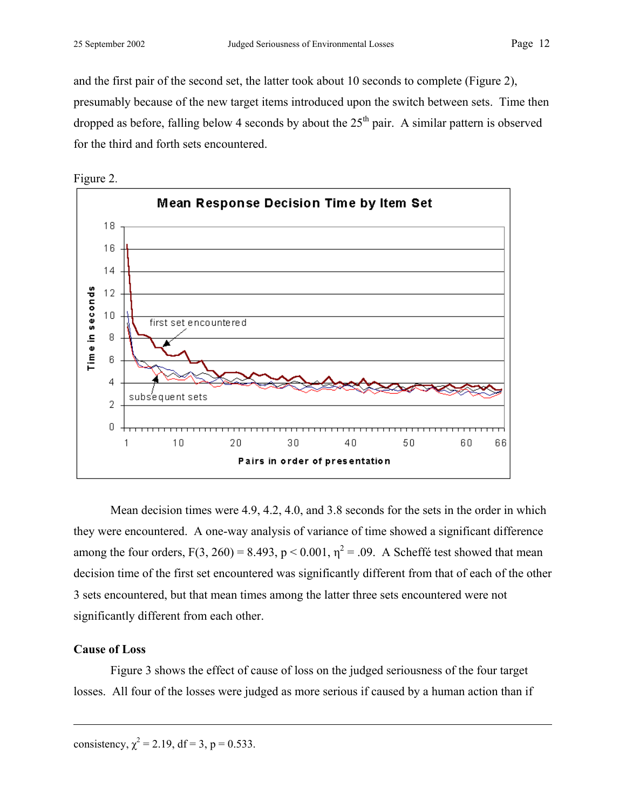and the first pair of the second set, the latter took about 10 seconds to complete (Figure 2), presumably because of the new target items introduced upon the switch between sets. Time then dropped as before, falling below 4 seconds by about the  $25<sup>th</sup>$  pair. A similar pattern is observed for the third and forth sets encountered.





Mean decision times were 4.9, 4.2, 4.0, and 3.8 seconds for the sets in the order in which they were encountered. A one-way analysis of variance of time showed a significant difference among the four orders,  $F(3, 260) = 8.493$ ,  $p < 0.001$ ,  $\eta^2 = .09$ . A Scheffé test showed that mean decision time of the first set encountered was significantly different from that of each of the other 3 sets encountered, but that mean times among the latter three sets encountered were not significantly different from each other.

## **Cause of Loss**

 $\overline{a}$ 

Figure 3 shows the effect of cause of loss on the judged seriousness of the four target losses. All four of the losses were judged as more serious if caused by a human action than if

consistency,  $\chi^2 = 2.19$ , df = 3, p = 0.533.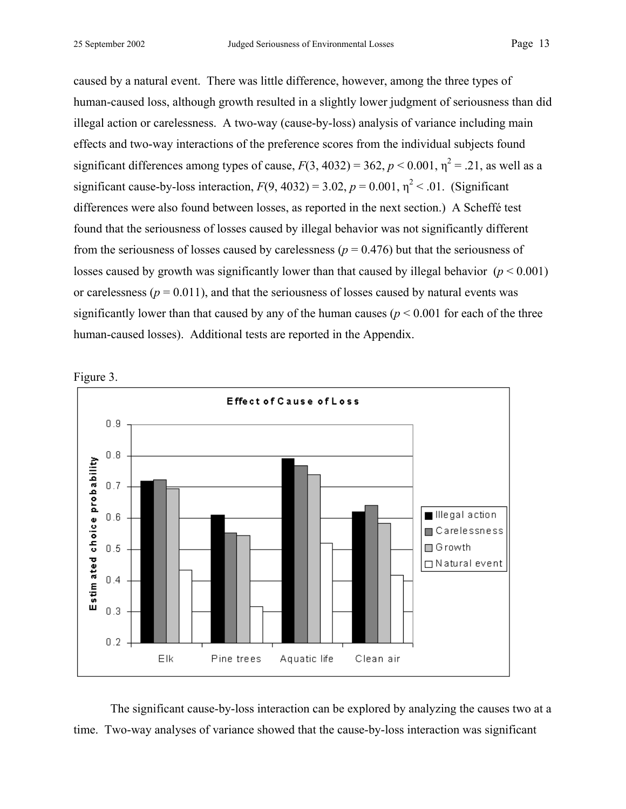caused by a natural event. There was little difference, however, among the three types of human-caused loss, although growth resulted in a slightly lower judgment of seriousness than did illegal action or carelessness. A two-way (cause-by-loss) analysis of variance including main effects and two-way interactions of the preference scores from the individual subjects found significant differences among types of cause,  $F(3, 4032) = 362$ ,  $p < 0.001$ ,  $\eta^2 = .21$ , as well as a significant cause-by-loss interaction,  $F(9, 4032) = 3.02$ ,  $p = 0.001$ ,  $\eta^2 < .01$ . (Significant differences were also found between losses, as reported in the next section.) A Scheffé test found that the seriousness of losses caused by illegal behavior was not significantly different from the seriousness of losses caused by carelessness ( $p = 0.476$ ) but that the seriousness of losses caused by growth was significantly lower than that caused by illegal behavior  $(p < 0.001)$ or carelessness ( $p = 0.011$ ), and that the seriousness of losses caused by natural events was significantly lower than that caused by any of the human causes ( $p \le 0.001$  for each of the three human-caused losses). Additional tests are reported in the Appendix.





The significant cause-by-loss interaction can be explored by analyzing the causes two at a time. Two-way analyses of variance showed that the cause-by-loss interaction was significant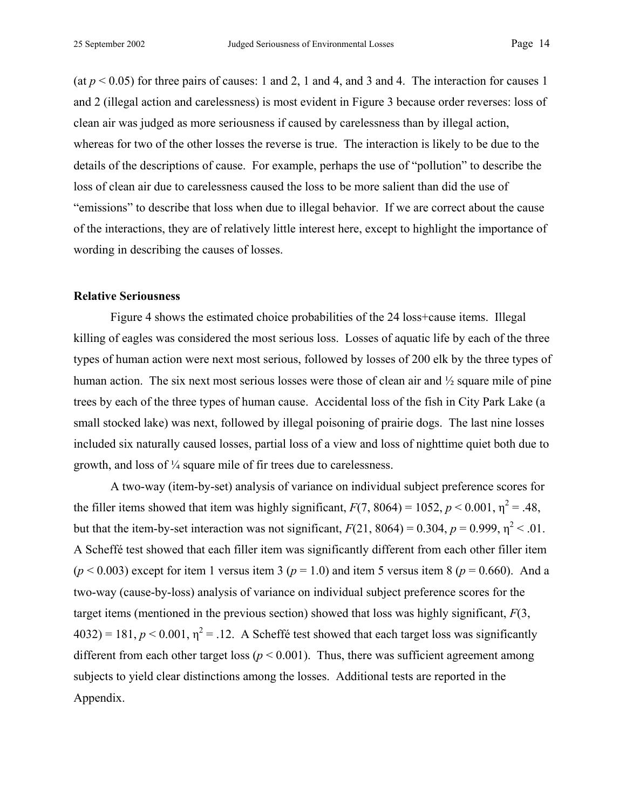(at  $p < 0.05$ ) for three pairs of causes: 1 and 2, 1 and 4, and 3 and 4. The interaction for causes 1 and 2 (illegal action and carelessness) is most evident in Figure 3 because order reverses: loss of clean air was judged as more seriousness if caused by carelessness than by illegal action, whereas for two of the other losses the reverse is true. The interaction is likely to be due to the details of the descriptions of cause. For example, perhaps the use of "pollution" to describe the loss of clean air due to carelessness caused the loss to be more salient than did the use of "emissions" to describe that loss when due to illegal behavior. If we are correct about the cause of the interactions, they are of relatively little interest here, except to highlight the importance of wording in describing the causes of losses.

#### **Relative Seriousness**

Figure 4 shows the estimated choice probabilities of the 24 loss+cause items. Illegal killing of eagles was considered the most serious loss. Losses of aquatic life by each of the three types of human action were next most serious, followed by losses of 200 elk by the three types of human action. The six next most serious losses were those of clean air and  $\frac{1}{2}$  square mile of pine trees by each of the three types of human cause. Accidental loss of the fish in City Park Lake (a small stocked lake) was next, followed by illegal poisoning of prairie dogs. The last nine losses included six naturally caused losses, partial loss of a view and loss of nighttime quiet both due to growth, and loss of ¼ square mile of fir trees due to carelessness.

A two-way (item-by-set) analysis of variance on individual subject preference scores for the filler items showed that item was highly significant,  $F(7, 8064) = 1052$ ,  $p < 0.001$ ,  $\eta^2 = .48$ , but that the item-by-set interaction was not significant,  $F(21, 8064) = 0.304$ ,  $p = 0.999$ ,  $\eta^2 < .01$ . A Scheffé test showed that each filler item was significantly different from each other filler item  $(p < 0.003)$  except for item 1 versus item 3 ( $p = 1.0$ ) and item 5 versus item 8 ( $p = 0.660$ ). And a two-way (cause-by-loss) analysis of variance on individual subject preference scores for the target items (mentioned in the previous section) showed that loss was highly significant, *F*(3,  $4032$ ) = 181,  $p < 0.001$ ,  $\eta^2$  = .12. A Scheffé test showed that each target loss was significantly different from each other target loss ( $p < 0.001$ ). Thus, there was sufficient agreement among subjects to yield clear distinctions among the losses. Additional tests are reported in the Appendix.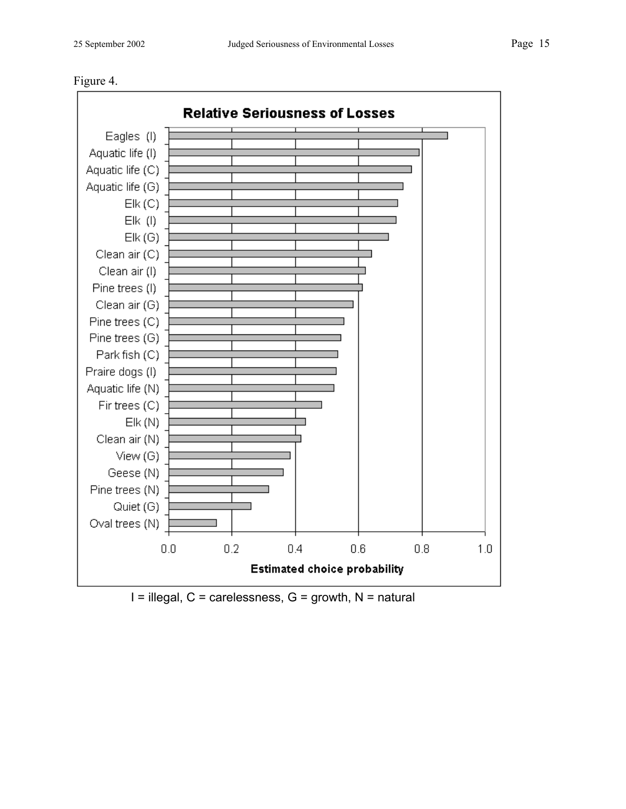



 $I =$  illegal,  $C =$  carelessness,  $G =$  growth,  $N =$  natural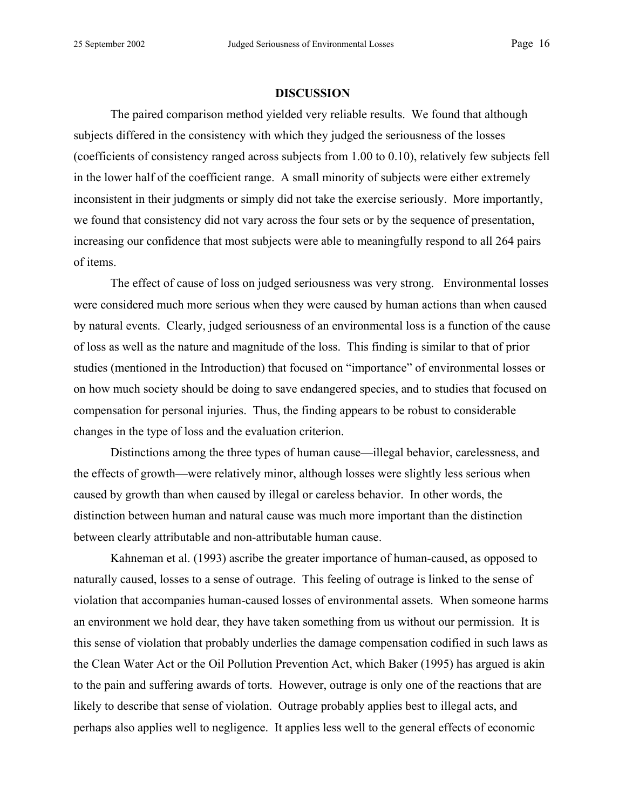#### **DISCUSSION**

The paired comparison method yielded very reliable results. We found that although subjects differed in the consistency with which they judged the seriousness of the losses (coefficients of consistency ranged across subjects from 1.00 to 0.10), relatively few subjects fell in the lower half of the coefficient range. A small minority of subjects were either extremely inconsistent in their judgments or simply did not take the exercise seriously. More importantly, we found that consistency did not vary across the four sets or by the sequence of presentation, increasing our confidence that most subjects were able to meaningfully respond to all 264 pairs of items.

The effect of cause of loss on judged seriousness was very strong. Environmental losses were considered much more serious when they were caused by human actions than when caused by natural events. Clearly, judged seriousness of an environmental loss is a function of the cause of loss as well as the nature and magnitude of the loss. This finding is similar to that of prior studies (mentioned in the Introduction) that focused on "importance" of environmental losses or on how much society should be doing to save endangered species, and to studies that focused on compensation for personal injuries. Thus, the finding appears to be robust to considerable changes in the type of loss and the evaluation criterion.

Distinctions among the three types of human cause—illegal behavior, carelessness, and the effects of growth—were relatively minor, although losses were slightly less serious when caused by growth than when caused by illegal or careless behavior. In other words, the distinction between human and natural cause was much more important than the distinction between clearly attributable and non-attributable human cause.

Kahneman et al. (1993) ascribe the greater importance of human-caused, as opposed to naturally caused, losses to a sense of outrage. This feeling of outrage is linked to the sense of violation that accompanies human-caused losses of environmental assets. When someone harms an environment we hold dear, they have taken something from us without our permission. It is this sense of violation that probably underlies the damage compensation codified in such laws as the Clean Water Act or the Oil Pollution Prevention Act, which Baker (1995) has argued is akin to the pain and suffering awards of torts. However, outrage is only one of the reactions that are likely to describe that sense of violation. Outrage probably applies best to illegal acts, and perhaps also applies well to negligence. It applies less well to the general effects of economic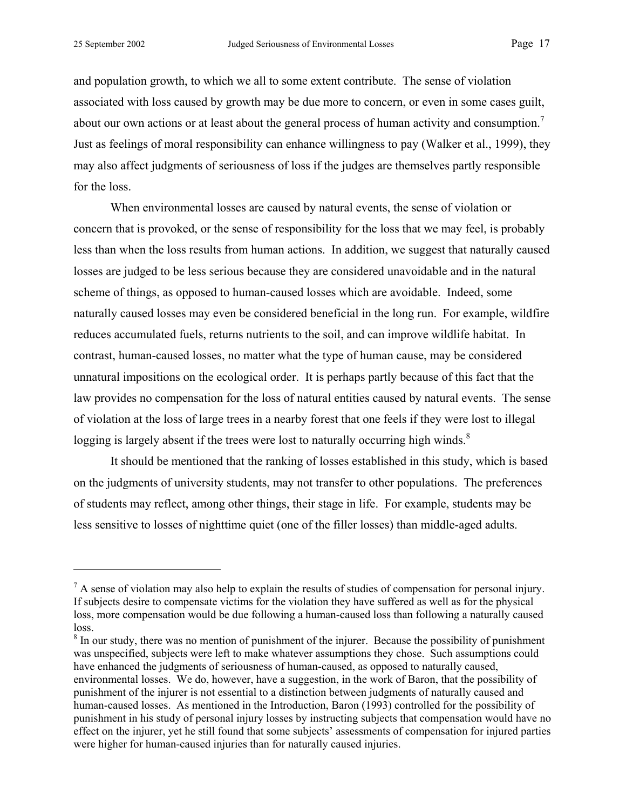1

and population growth, to which we all to some extent contribute. The sense of violation associated with loss caused by growth may be due more to concern, or even in some cases guilt, about our own actions or at least about the general process of human activity and consumption.<sup>7</sup> Just as feelings of moral responsibility can enhance willingness to pay (Walker et al., 1999), they may also affect judgments of seriousness of loss if the judges are themselves partly responsible for the loss.

When environmental losses are caused by natural events, the sense of violation or concern that is provoked, or the sense of responsibility for the loss that we may feel, is probably less than when the loss results from human actions. In addition, we suggest that naturally caused losses are judged to be less serious because they are considered unavoidable and in the natural scheme of things, as opposed to human-caused losses which are avoidable. Indeed, some naturally caused losses may even be considered beneficial in the long run. For example, wildfire reduces accumulated fuels, returns nutrients to the soil, and can improve wildlife habitat. In contrast, human-caused losses, no matter what the type of human cause, may be considered unnatural impositions on the ecological order. It is perhaps partly because of this fact that the law provides no compensation for the loss of natural entities caused by natural events. The sense of violation at the loss of large trees in a nearby forest that one feels if they were lost to illegal logging is largely absent if the trees were lost to naturally occurring high winds.<sup>8</sup>

It should be mentioned that the ranking of losses established in this study, which is based on the judgments of university students, may not transfer to other populations. The preferences of students may reflect, among other things, their stage in life. For example, students may be less sensitive to losses of nighttime quiet (one of the filler losses) than middle-aged adults.

 $<sup>7</sup>$  A sense of violation may also help to explain the results of studies of compensation for personal injury.</sup> If subjects desire to compensate victims for the violation they have suffered as well as for the physical loss, more compensation would be due following a human-caused loss than following a naturally caused loss.

 $8$  In our study, there was no mention of punishment of the injurer. Because the possibility of punishment was unspecified, subjects were left to make whatever assumptions they chose. Such assumptions could have enhanced the judgments of seriousness of human-caused, as opposed to naturally caused, environmental losses. We do, however, have a suggestion, in the work of Baron, that the possibility of punishment of the injurer is not essential to a distinction between judgments of naturally caused and human-caused losses. As mentioned in the Introduction, Baron (1993) controlled for the possibility of punishment in his study of personal injury losses by instructing subjects that compensation would have no effect on the injurer, yet he still found that some subjects' assessments of compensation for injured parties were higher for human-caused injuries than for naturally caused injuries.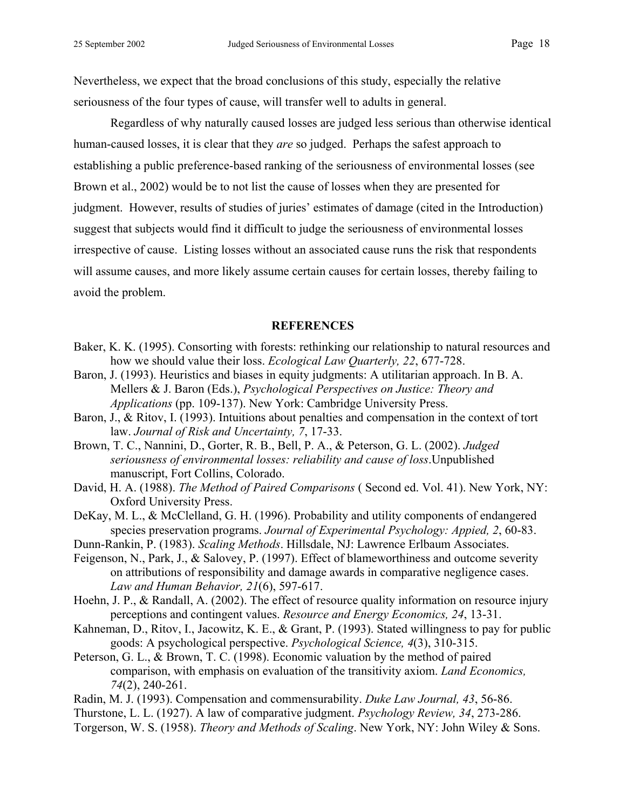Nevertheless, we expect that the broad conclusions of this study, especially the relative seriousness of the four types of cause, will transfer well to adults in general.

Regardless of why naturally caused losses are judged less serious than otherwise identical human-caused losses, it is clear that they *are* so judged. Perhaps the safest approach to establishing a public preference-based ranking of the seriousness of environmental losses (see Brown et al., 2002) would be to not list the cause of losses when they are presented for judgment. However, results of studies of juries' estimates of damage (cited in the Introduction) suggest that subjects would find it difficult to judge the seriousness of environmental losses irrespective of cause. Listing losses without an associated cause runs the risk that respondents will assume causes, and more likely assume certain causes for certain losses, thereby failing to avoid the problem.

## **REFERENCES**

- Baker, K. K. (1995). Consorting with forests: rethinking our relationship to natural resources and how we should value their loss. *Ecological Law Quarterly, 22*, 677-728.
- Baron, J. (1993). Heuristics and biases in equity judgments: A utilitarian approach. In B. A. Mellers & J. Baron (Eds.), *Psychological Perspectives on Justice: Theory and Applications* (pp. 109-137). New York: Cambridge University Press.
- Baron, J., & Ritov, I. (1993). Intuitions about penalties and compensation in the context of tort law. *Journal of Risk and Uncertainty, 7*, 17-33.
- Brown, T. C., Nannini, D., Gorter, R. B., Bell, P. A., & Peterson, G. L. (2002). *Judged seriousness of environmental losses: reliability and cause of loss*.Unpublished manuscript, Fort Collins, Colorado.
- David, H. A. (1988). *The Method of Paired Comparisons* ( Second ed. Vol. 41). New York, NY: Oxford University Press.
- DeKay, M. L., & McClelland, G. H. (1996). Probability and utility components of endangered species preservation programs. *Journal of Experimental Psychology: Appied, 2*, 60-83.
- Dunn-Rankin, P. (1983). *Scaling Methods*. Hillsdale, NJ: Lawrence Erlbaum Associates.
- Feigenson, N., Park, J., & Salovey, P. (1997). Effect of blameworthiness and outcome severity on attributions of responsibility and damage awards in comparative negligence cases. *Law and Human Behavior, 21*(6), 597-617.
- Hoehn, J. P., & Randall, A. (2002). The effect of resource quality information on resource injury perceptions and contingent values. *Resource and Energy Economics, 24*, 13-31.
- Kahneman, D., Ritov, I., Jacowitz, K. E., & Grant, P. (1993). Stated willingness to pay for public goods: A psychological perspective. *Psychological Science, 4*(3), 310-315.
- Peterson, G. L., & Brown, T. C. (1998). Economic valuation by the method of paired comparison, with emphasis on evaluation of the transitivity axiom. *Land Economics, 74*(2), 240-261.
- Radin, M. J. (1993). Compensation and commensurability. *Duke Law Journal, 43*, 56-86.
- Thurstone, L. L. (1927). A law of comparative judgment. *Psychology Review, 34*, 273-286.
- Torgerson, W. S. (1958). *Theory and Methods of Scaling*. New York, NY: John Wiley & Sons.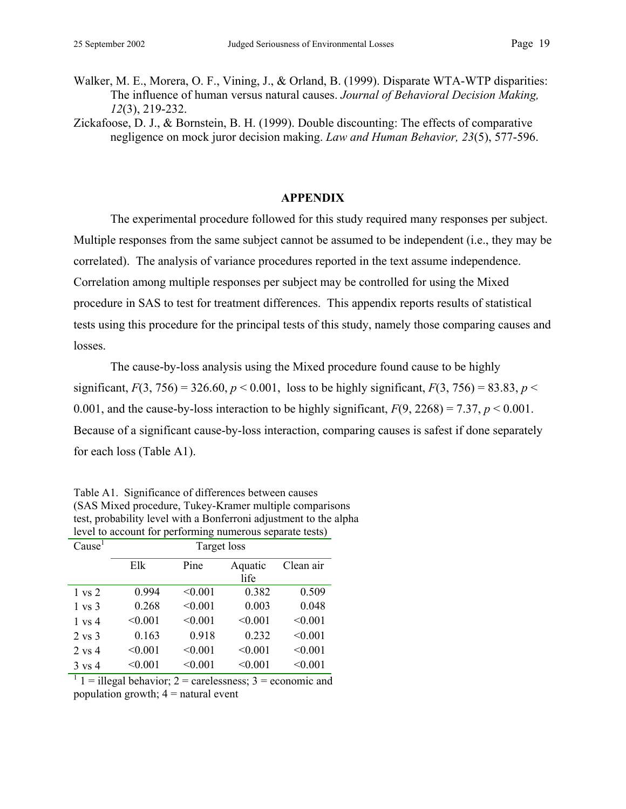Walker, M. E., Morera, O. F., Vining, J., & Orland, B. (1999). Disparate WTA-WTP disparities: The influence of human versus natural causes. *Journal of Behavioral Decision Making, 12*(3), 219-232.

Zickafoose, D. J., & Bornstein, B. H. (1999). Double discounting: The effects of comparative negligence on mock juror decision making. *Law and Human Behavior, 23*(5), 577-596.

## **APPENDIX**

The experimental procedure followed for this study required many responses per subject. Multiple responses from the same subject cannot be assumed to be independent (i.e., they may be correlated). The analysis of variance procedures reported in the text assume independence. Correlation among multiple responses per subject may be controlled for using the Mixed procedure in SAS to test for treatment differences. This appendix reports results of statistical tests using this procedure for the principal tests of this study, namely those comparing causes and losses.

The cause-by-loss analysis using the Mixed procedure found cause to be highly significant,  $F(3, 756) = 326.60$ ,  $p < 0.001$ , loss to be highly significant,  $F(3, 756) = 83.83$ ,  $p <$ 0.001, and the cause-by-loss interaction to be highly significant,  $F(9, 2268) = 7.37$ ,  $p < 0.001$ . Because of a significant cause-by-loss interaction, comparing causes is safest if done separately for each loss (Table A1).

| $\frac{1}{2}$ . $\frac{1}{2}$ . $\frac{1}{2}$ . $\frac{1}{2}$ . $\frac{1}{2}$ .<br>performing numerous separate tests, |             |         |                 |           |
|------------------------------------------------------------------------------------------------------------------------|-------------|---------|-----------------|-----------|
| Cause <sup>1</sup>                                                                                                     | Target loss |         |                 |           |
|                                                                                                                        | Elk         | Pine    | Aquatic<br>life | Clean air |
| $1 \text{ vs } 2$                                                                                                      | 0.994       | < 0.001 | 0.382           | 0.509     |
| $1 \text{ vs } 3$                                                                                                      | 0.268       | < 0.001 | 0.003           | 0.048     |
| $1 \text{ vs } 4$                                                                                                      | < 0.001     | < 0.001 | < 0.001         | < 0.001   |
| $2 \text{ vs } 3$                                                                                                      | 0.163       | 0.918   | 0.232           | < 0.001   |
| $2 \text{ vs } 4$                                                                                                      | < 0.001     | < 0.001 | < 0.001         | < 0.001   |
| $3 \text{ vs } 4$                                                                                                      | < 0.001     | < 0.001 | < 0.001         | < 0.001   |

Table A1. Significance of differences between causes (SAS Mixed procedure, Tukey-Kramer multiple comparisons test, probability level with a Bonferroni adjustment to the alpha level to account for performing numerous separate tests)

 $1 =$  illegal behavior; 2 = carelessness; 3 = economic and population growth;  $4 =$  natural event